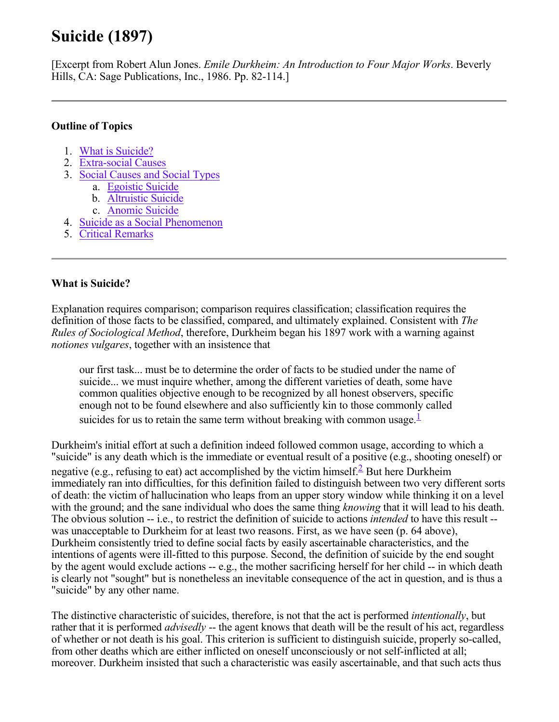# **Suicide (1897)**

[Excerpt from Robert Alun Jones. *Emile Durkheim: An Introduction to Four Major Works*. Beverly Hills, CA: Sage Publications, Inc., 1986. Pp. 82-114.]

## **Outline of Topics**

- 1. What is Suicide?
- 2. Extra-social Causes
- 3. Social Causes and Social Types
	- a. Egoistic Suicide
	- b. Altruistic Suicide
	- c. Anomic Suicide
- 4. Suicide as a Social Phenomenon
- 5. Critical Remarks

# **What is Suicide?**

Explanation requires comparison; comparison requires classification; classification requires the definition of those facts to be classified, compared, and ultimately explained. Consistent with *The*  Rules of Sociological Method, therefore, Durkheim began his 1897 work with a warning against *notiones vulgares*, together with an insistence that

our first task... must be to determine the order of facts to be studied under the name of suicide... we must inquire whether, among the different varieties of death, some have common qualities objective enough to be recognized by all honest observers, specific enough not to be found elsewhere and also sufficiently kin to those commonly called suicides for us to retain the same term without breaking with common usage. $\frac{1}{2}$ 

Durkheim's initial effort at such a definition indeed followed common usage, according to which a "suicide" is any death which is the immediate or eventual result of a positive (e.g., shooting oneself) or negative (e.g., refusing to eat) act accomplished by the victim himself.  $\geq$  But here Durkheim immediately ran into difficulties, for this definition failed to distinguish between two very different sorts of death: the victim of hallucination who leaps from an upper story window while thinking it on a level with the ground; and the sane individual who does the same thing *knowing* that it will lead to his death. The obvious solution -- i.e., to restrict the definition of suicide to actions *intended* to have this result -was unacceptable to Durkheim for at least two reasons. First, as we have seen (p. 64 above), Durkheim consistently tried to define social facts by easily ascertainable characteristics, and the intentions of agents were ill-fitted to this purpose. Second, the definition of suicide by the end sought by the agent would exclude actions -- e.g., the mother sacrificing herself for her child -- in which death is clearly not "sought" but is nonetheless an inevitable consequence of the act in question, and is thus a "suicide" by any other name.

The distinctive characteristic of suicides, therefore, is not that the act is performed *intentionally*, but rather that it is performed *advisedly* -- the agent knows that death will be the result of his act, regardless of whether or not death is his goal. This criterion is sufficient to distinguish suicide, properly so-called, from other deaths which are either inflicted on oneself unconsciously or not self-inflicted at all; moreover. Durkheim insisted that such a characteristic was easily ascertainable, and that such acts thus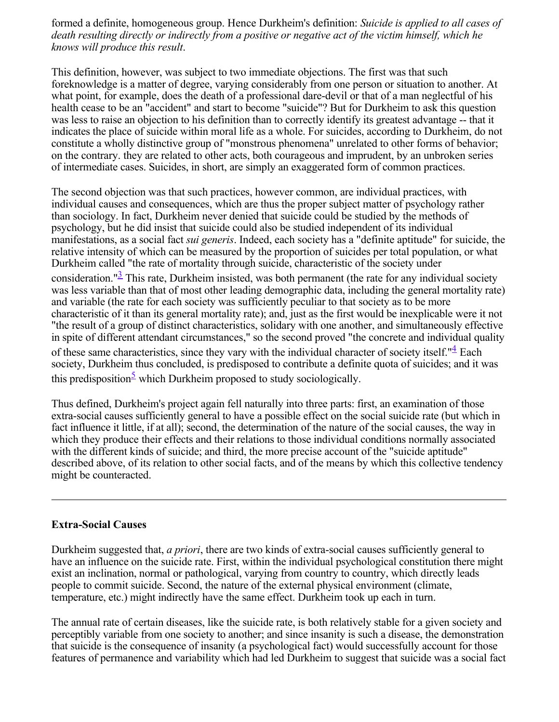formed a definite, homogeneous group. Hence Durkheim's definition: *Suicide is applied to all cases of*  . *knows will produce this result death resulting directly or indirectly from a positive or negative act of the victim himself, which he* 

This definition, however, was subject to two immediate objections. The first was that such foreknowledge is a matter of degree, varying considerably from one person or situation to another. At what point, for example, does the death of a professional dare-devil or that of a man neglectful of his health cease to be an "accident" and start to become "suicide"? But for Durkheim to ask this question was less to raise an objection to his definition than to correctly identify its greatest advantage -- that it indicates the place of suicide within moral life as a whole. For suicides, according to Durkheim, do not constitute a wholly distinctive group of "monstrous phenomena" unrelated to other forms of behavior; on the contrary. they are related to other acts, both courageous and imprudent, by an unbroken series of intermediate cases. Suicides, in short, are simply an exaggerated form of common practices.

The second objection was that such practices, however common, are individual practices, with individual causes and consequences, which are thus the proper subject matter of psychology rather than sociology. In fact, Durkheim never denied that suicide could be studied by the methods of psychology, but he did insist that suicide could also be studied independent of its individual manifestations, as a social fact *sui generis*. Indeed, each society has a "definite aptitude" for suicide, the relative intensity of which can be measured by the proportion of suicides per total population, or what Durkheim called "the rate of mortality through suicide, characteristic of the society under consideration." $\frac{3}{2}$  This rate, Durkheim insisted, was both permanent (the rate for any individual society was less variable than that of most other leading demographic data, including the general mortality rate) and variable (the rate for each society was sufficiently peculiar to that society as to be more characteristic of it than its general mortality rate); and, just as the first would be inexplicable were it not "the result of a group of distinct characteristics, solidary with one another, and simultaneously effective in spite of different attendant circumstances," so the second proved "the concrete and individual quality of these same characteristics, since they vary with the individual character of society itself." $\frac{4}{5}$  Each society, Durkheim thus concluded, is predisposed to contribute a definite quota of suicides; and it was this predisposition<sup>5</sup> which Durkheim proposed to study sociologically.

Thus defined, Durkheim's project again fell naturally into three parts: first, an examination of those extra-social causes sufficiently general to have a possible effect on the social suicide rate (but which in fact influence it little, if at all); second, the determination of the nature of the social causes, the way in which they produce their effects and their relations to those individual conditions normally associated with the different kinds of suicide; and third, the more precise account of the "suicide aptitude" described above, of its relation to other social facts, and of the means by which this collective tendency might be counteracted.

## **Extra-Social Causes**

Durkheim suggested that, a priori, there are two kinds of extra-social causes sufficiently general to have an influence on the suicide rate. First, within the individual psychological constitution there might exist an inclination, normal or pathological, varying from country to country, which directly leads people to commit suicide. Second, the nature of the external physical environment (climate, temperature, etc.) might indirectly have the same effect. Durkheim took up each in turn.

The annual rate of certain diseases, like the suicide rate, is both relatively stable for a given society and perceptibly variable from one society to another; and since insanity is such a disease, the demonstration that suicide is the consequence of insanity (a psychological fact) would successfully account for those features of permanence and variability which had led Durkheim to suggest that suicide was a social fact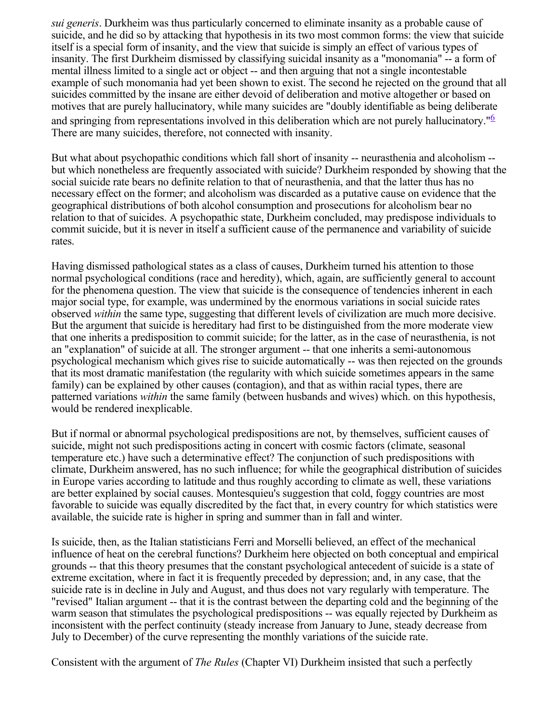sui generis. Durkheim was thus particularly concerned to eliminate insanity as a probable cause of suicide, and he did so by attacking that hypothesis in its two most common forms: the view that suicide itself is a special form of insanity, and the view that suicide is simply an effect of various types of insanity. The first Durkheim dismissed by classifying suicidal insanity as a "monomania" -- a form of mental illness limited to a single act or object -- and then arguing that not a single incontestable example of such monomania had yet been shown to exist. The second he rejected on the ground that all suicides committed by the insane are either devoid of deliberation and motive altogether or based on motives that are purely hallucinatory, while many suicides are "doubly identifiable as being deliberate and springing from representations involved in this deliberation which are not purely hallucinatory."<sup>6</sup> There are many suicides, therefore, not connected with insanity.

But what about psychopathic conditions which fall short of insanity -- neurasthenia and alcoholism - but which nonetheless are frequently associated with suicide? Durkheim responded by showing that the social suicide rate bears no definite relation to that of neurasthenia, and that the latter thus has no necessary effect on the former; and alcoholism was discarded as a putative cause on evidence that the geographical distributions of both alcohol consumption and prosecutions for alcoholism bear no relation to that of suicides. A psychopathic state, Durkheim concluded, may predispose individuals to commit suicide, but it is never in itself a sufficient cause of the permanence and variability of suicide rates.

Having dismissed pathological states as a class of causes, Durkheim turned his attention to those normal psychological conditions (race and heredity), which, again, are sufficiently general to account for the phenomena question. The view that suicide is the consequence of tendencies inherent in each major social type, for example, was undermined by the enormous variations in social suicide rates observed within the same type, suggesting that different levels of civilization are much more decisive. But the argument that suicide is hereditary had first to be distinguished from the more moderate view that one inherits a predisposition to commit suicide; for the latter, as in the case of neurasthenia, is not an "explanation" of suicide at all. The stronger argument -- that one inherits a semi-autonomous psychological mechanism which gives rise to suicide automatically -- was then rejected on the grounds that its most dramatic manifestation (the regularity with which suicide sometimes appears in the same family) can be explained by other causes (contagion), and that as within racial types, there are patterned variations *within* the same family (between husbands and wives) which. on this hypothesis, would be rendered inexplicable.

But if normal or abnormal psychological predispositions are not, by themselves, sufficient causes of suicide, might not such predispositions acting in concert with cosmic factors (climate, seasonal temperature etc.) have such a determinative effect? The conjunction of such predispositions with climate, Durkheim answered, has no such influence; for while the geographical distribution of suicides in Europe varies according to latitude and thus roughly according to climate as well, these variations are better explained by social causes. Montesquieu's suggestion that cold, foggy countries are most favorable to suicide was equally discredited by the fact that, in every country for which statistics were available, the suicide rate is higher in spring and summer than in fall and winter.

Is suicide, then, as the Italian statisticians Ferri and Morselli believed, an effect of the mechanical influence of heat on the cerebral functions? Durkheim here objected on both conceptual and empirical grounds -- that this theory presumes that the constant psychological antecedent of suicide is a state of extreme excitation, where in fact it is frequently preceded by depression; and, in any case, that the suicide rate is in decline in July and August, and thus does not vary regularly with temperature. The "revised" Italian argument -- that it is the contrast between the departing cold and the beginning of the warm season that stimulates the psychological predispositions -- was equally rejected by Durkheim as inconsistent with the perfect continuity (steady increase from January to June, steady decrease from July to December) of the curve representing the monthly variations of the suicide rate.

Consistent with the argument of *The Rules* (Chapter VI) Durkheim insisted that such a perfectly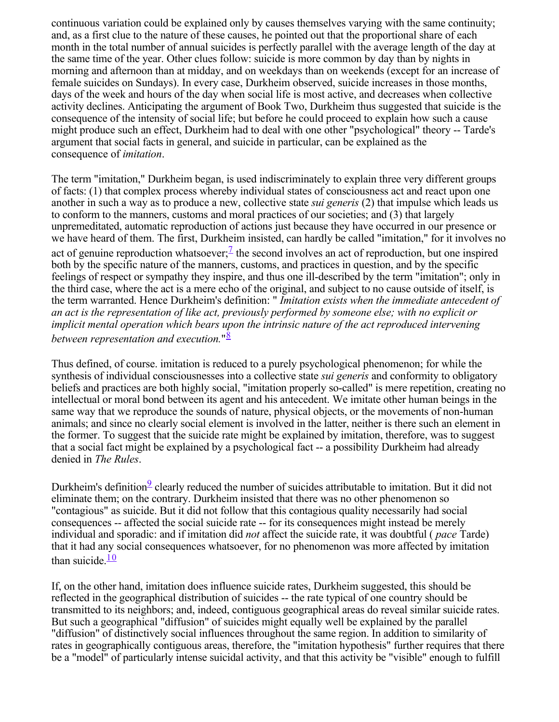continuous variation could be explained only by causes themselves varying with the same continuity; and, as a first clue to the nature of these causes, he pointed out that the proportional share of each month in the total number of annual suicides is perfectly parallel with the average length of the day at the same time of the year. Other clues follow: suicide is more common by day than by nights in morning and afternoon than at midday, and on weekdays than on weekends (except for an increase of female suicides on Sundays). In every case, Durkheim observed, suicide increases in those months, days of the week and hours of the day when social life is most active, and decreases when collective activity declines. Anticipating the argument of Book Two, Durkheim thus suggested that suicide is the consequence of the intensity of social life; but before he could proceed to explain how such a cause might produce such an effect, Durkheim had to deal with one other "psychological" theory -- Tarde's argument that social facts in general, and suicide in particular, can be explained as the consequence of *imitation*.

The term "imitation," Durkheim began, is used indiscriminately to explain three very different groups of facts: (1) that complex process whereby individual states of consciousness act and react upon one another in such a way as to produce a new, collective state *sui generis* (2) that impulse which leads us to conform to the manners, customs and moral practices of our societies; and (3) that largely unpremeditated, automatic reproduction of actions just because they have occurred in our presence or we have heard of them. The first, Durkheim insisted, can hardly be called "imitation," for it involves no act of genuine reproduction whatsoever;  $\frac{7}{2}$  the second involves an act of reproduction, but one inspired both by the specific nature of the manners, customs, and practices in question, and by the specific feelings of respect or sympathy they inspire, and thus one ill-described by the term "imitation"; only in the third case, where the act is a mere echo of the original, and subject to no cause outside of itself, is the term warranted. Hence Durkheim's definition: "  *Imitation exists when the immediate antecedent of*  between representation and execution."<sup>8</sup> *an act is the representation of like act, previously performed by someone else; with no explicit or implicit mental operation which bears upon the intrinsic nature of the act reproduced intervening* 

Thus defined, of course. imitation is reduced to a purely psychological phenomenon; for while the synthesis of individual consciousnesses into a collective state *sui generis* and conformity to obligatory beliefs and practices are both highly social, "imitation properly so-called" is mere repetition, creating no intellectual or moral bond between its agent and his antecedent. We imitate other human beings in the same way that we reproduce the sounds of nature, physical objects, or the movements of non-human animals; and since no clearly social element is involved in the latter, neither is there such an element in the former. To suggest that the suicide rate might be explained by imitation, therefore, was to suggest that a social fact might be explained by a psychological fact -- a possibility Durkheim had already denied in The Rules.

Durkheim's definition $\frac{9}{5}$  clearly reduced the number of suicides attributable to imitation. But it did not eliminate them; on the contrary. Durkheim insisted that there was no other phenomenon so "contagious" as suicide. But it did not follow that this contagious quality necessarily had social consequences -- affected the social suicide rate -- for its consequences might instead be merely individual and sporadic: and if imitation did *not* affect the suicide rate, it was doubtful (*pace* Tarde) that it had any social consequences whatsoever, for no phenomenon was more affected by imitation than suicide. $\frac{10}{10}$ 

If, on the other hand, imitation does influence suicide rates, Durkheim suggested, this should be reflected in the geographical distribution of suicides -- the rate typical of one country should be transmitted to its neighbors; and, indeed, contiguous geographical areas do reveal similar suicide rates. But such a geographical "diffusion" of suicides might equally well be explained by the parallel "diffusion" of distinctively social influences throughout the same region. In addition to similarity of rates in geographically contiguous areas, therefore, the "imitation hypothesis" further requires that there be a "model" of particularly intense suicidal activity, and that this activity be "visible" enough to fulfill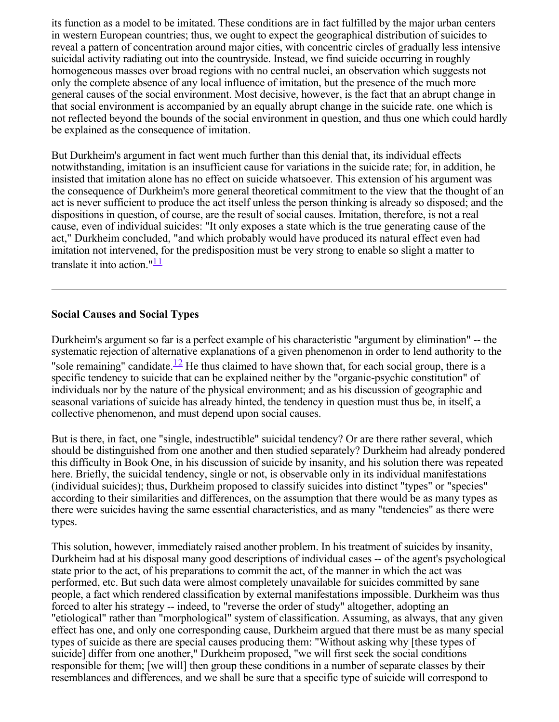its function as a model to be imitated. These conditions are in fact fulfilled by the major urban centers in western European countries; thus, we ought to expect the geographical distribution of suicides to reveal a pattern of concentration around major cities, with concentric circles of gradually less intensive suicidal activity radiating out into the countryside. Instead, we find suicide occurring in roughly homogeneous masses over broad regions with no central nuclei, an observation which suggests not only the complete absence of any local influence of imitation, but the presence of the much more general causes of the social environment. Most decisive, however, is the fact that an abrupt change in that social environment is accompanied by an equally abrupt change in the suicide rate. one which is not reflected beyond the bounds of the social environment in question, and thus one which could hardly be explained as the consequence of imitation.

But Durkheim's argument in fact went much further than this denial that, its individual effects notwithstanding, imitation is an insufficient cause for variations in the suicide rate; for, in addition, he insisted that imitation alone has no effect on suicide whatsoever. This extension of his argument was the consequence of Durkheim's more general theoretical commitment to the view that the thought of an act is never sufficient to produce the act itself unless the person thinking is already so disposed; and the dispositions in question, of course, are the result of social causes. Imitation, therefore, is not a real cause, even of individual suicides: "It only exposes a state which is the true generating cause of the act," Durkheim concluded, "and which probably would have produced its natural effect even had imitation not intervened, for the predisposition must be very strong to enable so slight a matter to translate it into action." $\frac{11}{11}$ 

## **Social Causes and Social Types**

Durkheim's argument so far is a perfect example of his characteristic "argument by elimination" -- the systematic rejection of alternative explanations of a given phenomenon in order to lend authority to the "sole remaining" candidate.  $\frac{12}{1}$  He thus claimed to have shown that, for each social group, there is a specific tendency to suicide that can be explained neither by the "organic-psychic constitution" of individuals nor by the nature of the physical environment; and as his discussion of geographic and seasonal variations of suicide has already hinted, the tendency in question must thus be, in itself, a collective phenomenon, and must depend upon social causes.

But is there, in fact, one "single, indestructible" suicidal tendency? Or are there rather several, which should be distinguished from one another and then studied separately? Durkheim had already pondered this difficulty in Book One, in his discussion of suicide by insanity, and his solution there was repeated here. Briefly, the suicidal tendency, single or not, is observable only in its individual manifestations (individual suicides); thus, Durkheim proposed to classify suicides into distinct "types" or "species" according to their similarities and differences, on the assumption that there would be as many types as there were suicides having the same essential characteristics, and as many "tendencies" as there were types.

This solution, however, immediately raised another problem. In his treatment of suicides by insanity, Durkheim had at his disposal many good descriptions of individual cases -- of the agent's psychological state prior to the act, of his preparations to commit the act, of the manner in which the act was performed, etc. But such data were almost completely unavailable for suicides committed by sane people, a fact which rendered classification by external manifestations impossible. Durkheim was thus forced to alter his strategy -- indeed, to "reverse the order of study" altogether, adopting an "etiological" rather than "morphological" system of classification. Assuming, as always, that any given effect has one, and only one corresponding cause, Durkheim argued that there must be as many special types of suicide as there are special causes producing them: "Without asking why [these types of suicide] differ from one another," Durkheim proposed, "we will first seek the social conditions responsible for them; [we will] then group these conditions in a number of separate classes by their resemblances and differences, and we shall be sure that a specific type of suicide will correspond to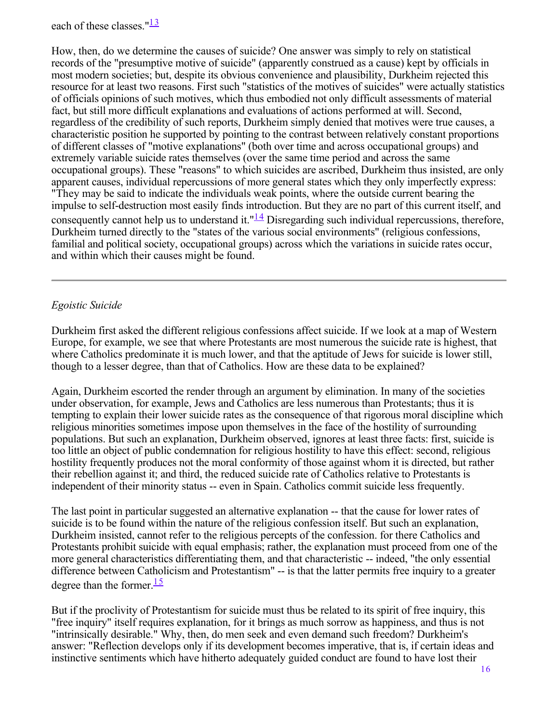How, then, do we determine the causes of suicide? One answer was simply to rely on statistical records of the "presumptive motive of suicide" (apparently construed as a cause) kept by officials in most modern societies; but, despite its obvious convenience and plausibility, Durkheim rejected this resource for at least two reasons. First such "statistics of the motives of suicides" were actually statistics of officials opinions of such motives, which thus embodied not only difficult assessments of material fact, but still more difficult explanations and evaluations of actions performed at will. Second, regardless of the credibility of such reports, Durkheim simply denied that motives were true causes, a characteristic position he supported by pointing to the contrast between relatively constant proportions of different classes of "motive explanations" (both over time and across occupational groups) and extremely variable suicide rates themselves (over the same time period and across the same occupational groups). These "reasons" to which suicides are ascribed, Durkheim thus insisted, are only apparent causes, individual repercussions of more general states which they only imperfectly express: "They may be said to indicate the individuals weak points, where the outside current bearing the impulse to self-destruction most easily finds introduction. But they are no part of this current itself, and consequently cannot help us to understand it." $\frac{14}{1}$  Disregarding such individual repercussions, therefore, Durkheim turned directly to the "states of the various social environments" (religious confessions, familial and political society, occupational groups) across which the variations in suicide rates occur, and within which their causes might be found.

## *Egoistic Suicide*

Durkheim first asked the different religious confessions affect suicide. If we look at a map of Western Europe, for example, we see that where Protestants are most numerous the suicide rate is highest, that where Catholics predominate it is much lower, and that the aptitude of Jews for suicide is lower still, though to a lesser degree, than that of Catholics. How are these data to be explained?

Again, Durkheim escorted the render through an argument by elimination. In many of the societies under observation, for example, Jews and Catholics are less numerous than Protestants; thus it is tempting to explain their lower suicide rates as the consequence of that rigorous moral discipline which religious minorities sometimes impose upon themselves in the face of the hostility of surrounding populations. But such an explanation, Durkheim observed, ignores at least three facts: first, suicide is too little an object of public condemnation for religious hostility to have this effect: second, religious hostility frequently produces not the moral conformity of those against whom it is directed, but rather their rebellion against it; and third, the reduced suicide rate of Catholics relative to Protestants is independent of their minority status -- even in Spain. Catholics commit suicide less frequently.

The last point in particular suggested an alternative explanation -- that the cause for lower rates of suicide is to be found within the nature of the religious confession itself. But such an explanation, Durkheim insisted, cannot refer to the religious percepts of the confession. for there Catholics and Protestants prohibit suicide with equal emphasis; rather, the explanation must proceed from one of the more general characteristics differentiating them, and that characteristic -- indeed, "the only essential difference between Catholicism and Protestantism" -- is that the latter permits free inquiry to a greater degree than the former.  $\frac{15}{2}$ 

But if the proclivity of Protestantism for suicide must thus be related to its spirit of free inquiry, this "free inquiry" itself requires explanation, for it brings as much sorrow as happiness, and thus is not "intrinsically desirable." Why, then, do men seek and even demand such freedom? Durkheim's answer: "Reflection develops only if its development becomes imperative, that is, if certain ideas and instinctive sentiments which have hitherto adequately guided conduct are found to have lost their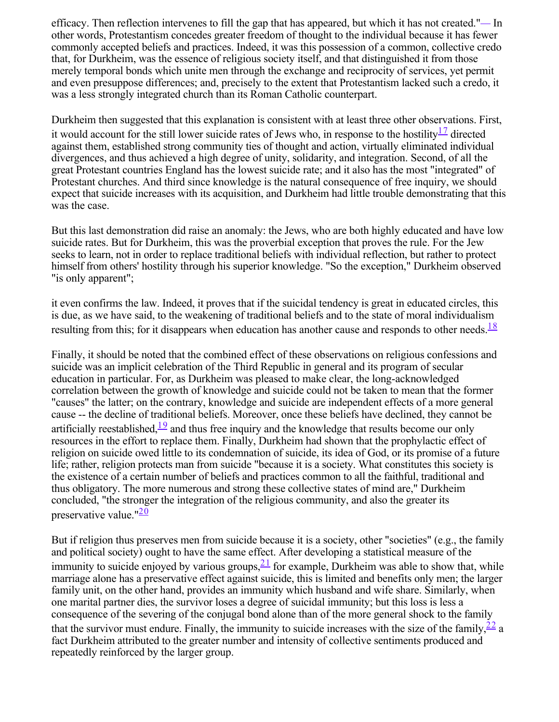efficacy. Then reflection intervenes to fill the gap that has appeared, but which it has not created."—In other words, Protestantism concedes greater freedom of thought to the individual because it has fewer commonly accepted beliefs and practices. Indeed, it was this possession of a common, collective credo that, for Durkheim, was the essence of religious society itself, and that distinguished it from those merely temporal bonds which unite men through the exchange and reciprocity of services, yet permit and even presuppose differences; and, precisely to the extent that Protestantism lacked such a credo, it was a less strongly integrated church than its Roman Catholic counterpart.

Durkheim then suggested that this explanation is consistent with at least three other observations. First, it would account for the still lower suicide rates of Jews who, in response to the hostility  $\frac{17}{1}$  directed against them, established strong community ties of thought and action, virtually eliminated individual divergences, and thus achieved a high degree of unity, solidarity, and integration. Second, of all the great Protestant countries England has the lowest suicide rate; and it also has the most "integrated" of Protestant churches. And third since knowledge is the natural consequence of free inquiry, we should expect that suicide increases with its acquisition, and Durkheim had little trouble demonstrating that this was the case.

But this last demonstration did raise an anomaly: the Jews, who are both highly educated and have low suicide rates. But for Durkheim, this was the proverbial exception that proves the rule. For the Jew seeks to learn, not in order to replace traditional beliefs with individual reflection, but rather to protect himself from others' hostility through his superior knowledge. "So the exception," Durkheim observed "is only apparent";

it even confirms the law. Indeed, it proves that if the suicidal tendency is great in educated circles, this is due, as we have said, to the weakening of traditional beliefs and to the state of moral individualism resulting from this; for it disappears when education has another cause and responds to other needs.<sup>18</sup>

Finally, it should be noted that the combined effect of these observations on religious confessions and suicide was an implicit celebration of the Third Republic in general and its program of secular education in particular. For, as Durkheim was pleased to make clear, the long-acknowledged correlation between the growth of knowledge and suicide could not be taken to mean that the former "causes" the latter; on the contrary, knowledge and suicide are independent effects of a more general cause -- the decline of traditional beliefs. Moreover, once these beliefs have declined, they cannot be artificially reestablished,  $\frac{19}{2}$  and thus free inquiry and the knowledge that results become our only resources in the effort to replace them. Finally, Durkheim had shown that the prophylactic effect of religion on suicide owed little to its condemnation of suicide, its idea of God, or its promise of a future life; rather, religion protects man from suicide "because it is a society. What constitutes this society is the existence of a certain number of beliefs and practices common to all the faithful, traditional and thus obligatory. The more numerous and strong these collective states of mind are," Durkheim concluded, "the stronger the integration of the religious community, and also the greater its preservative value."<sup>20</sup>

But if religion thus preserves men from suicide because it is a society, other "societies" (e.g., the family and political society) ought to have the same effect. After developing a statistical measure of the immunity to suicide enjoyed by various groups,  $\frac{21}{2}$  for example, Durkheim was able to show that, while marriage alone has a preservative effect against suicide, this is limited and benefits only men; the larger family unit, on the other hand, provides an immunity which husband and wife share. Similarly, when one marital partner dies, the survivor loses a degree of suicidal immunity; but this loss is less a consequence of the severing of the conjugal bond alone than of the more general shock to the family that the survivor must endure. Finally, the immunity to suicide increases with the size of the family,  $\frac{22}{3}$  a fact Durkheim attributed to the greater number and intensity of collective sentiments produced and repeatedly reinforced by the larger group.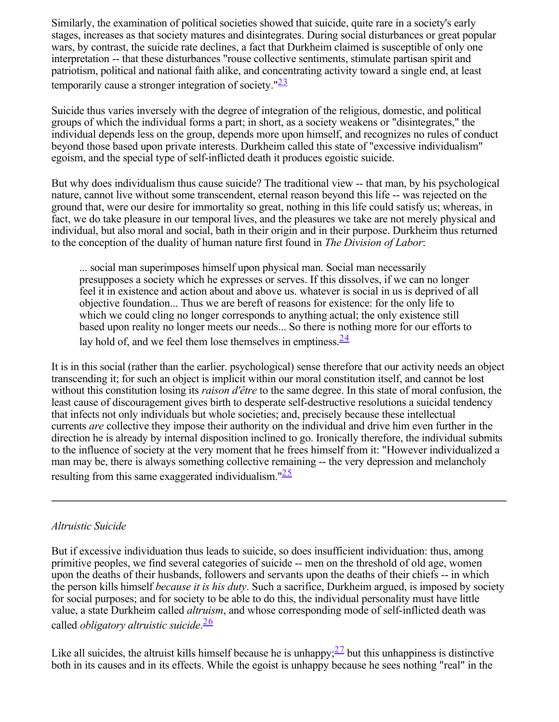Similarly, the examination of political societies showed that suicide, quite rare in a society's early stages, increases as that society matures and disintegrates. During social disturbances or great popular wars, by contrast, the suicide rate declines, a fact that Durkheim claimed is susceptible of only one interpretation -- that these disturbances "rouse collective sentiments, stimulate partisan spirit and patriotism, political and national faith alike, and concentrating activity toward a single end, at least temporarily cause a stronger integration of society.<sup>"23</sup>

Suicide thus varies inversely with the degree of integration of the religious, domestic, and political groups of which the individual forms a part; in short, as a society weakens or "disintegrates," the individual depends less on the group, depends more upon himself, and recognizes no rules of conduct beyond those based upon private interests. Durkheim called this state of "excessive individualism" egoism, and the special type of self-inflicted death it produces egoistic suicide.

But why does individualism thus cause suicide? The traditional view -- that man, by his psychological nature, cannot live without some transcendent, eternal reason beyond this life -- was rejected on the ground that, were our desire for immortality so great, nothing in this life could satisfy us; whereas, in fact, we do take pleasure in our temporal lives, and the pleasures we take are not merely physical and individual, but also moral and social, bath in their origin and in their purpose. Durkheim thus returned to the conception of the duality of human nature first found in *The Division of Labor*:

... social man superimposes himself upon physical man. Social man necessarily presupposes a society which he expresses or serves. If this dissolves, if we can no longer feel it in existence and action about and above us. whatever is social in us is deprived of all objective foundation... Thus we are bereft of reasons for existence: for the only life to which we could cling no longer corresponds to anything actual; the only existence still based upon reality no longer meets our needs... So there is nothing more for our efforts to lay hold of, and we feel them lose themselves in emptiness. $\frac{24}{3}$ 

It is in this social (rather than the earlier. psychological) sense therefore that our activity needs an object transcending it; for such an object is implicit within our moral constitution itself, and cannot be lost without this constitution losing its *raison d'être* to the same degree. In this state of moral confusion, the least cause of discouragement gives birth to desperate self-destructive resolutions a suicidal tendency that infects not only individuals but whole societies; and, precisely because these intellectual currents are collective they impose their authority on the individual and drive him even further in the direction he is already by internal disposition inclined to go. Ironically therefore, the individual submits to the influence of society at the very moment that he frees himself from it: "However individualized a man may be, there is always something collective remaining -- the very depression and melancholy resulting from this same exaggerated individualism."<sup>25</sup>

### *Altruistic Suicide*

But if excessive individuation thus leads to suicide, so does insufficient individuation: thus, among primitive peoples, we find several categories of suicide -- men on the threshold of old age, women upon the deaths of their husbands, followers and servants upon the deaths of their chiefs -- in which the person kills himself *because it is his duty*. Such a sacrifice, Durkheim argued, is imposed by society for social purposes; and for society to be able to do this, the individual personality must have little value, a state Durkheim called *altruism*, and whose corresponding mode of self-inflicted death was called . *obligatory altruistic suicide* <sup>26</sup>

Like all suicides, the altruist kills himself because he is unhappy;  $\frac{27}{1}$  but this unhappiness is distinctive both in its causes and in its effects. While the egoist is unhappy because he sees nothing "real" in the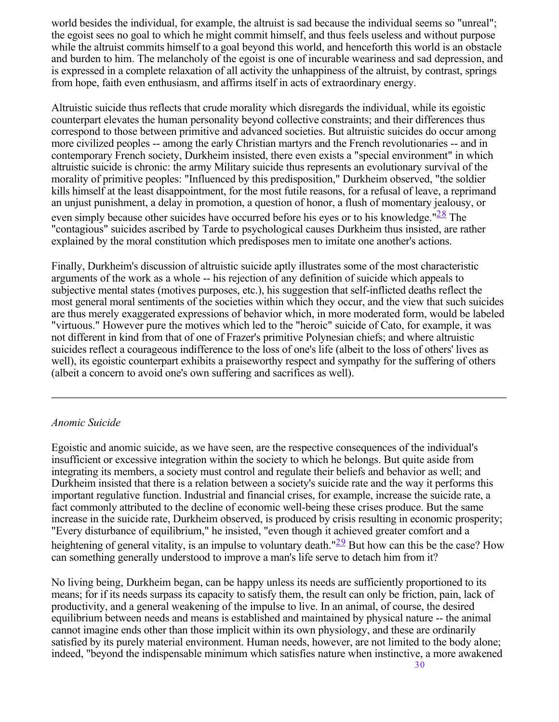world besides the individual, for example, the altruist is sad because the individual seems so "unreal"; the egoist sees no goal to which he might commit himself, and thus feels useless and without purpose while the altruist commits himself to a goal beyond this world, and henceforth this world is an obstacle and burden to him. The melancholy of the egoist is one of incurable weariness and sad depression, and is expressed in a complete relaxation of all activity the unhappiness of the altruist, by contrast, springs from hope, faith even enthusiasm, and affirms itself in acts of extraordinary energy.

Altruistic suicide thus reflects that crude morality which disregards the individual, while its egoistic counterpart elevates the human personality beyond collective constraints; and their differences thus correspond to those between primitive and advanced societies. But altruistic suicides do occur among more civilized peoples -- among the early Christian martyrs and the French revolutionaries -- and in contemporary French society, Durkheim insisted, there even exists a "special environment" in which altruistic suicide is chronic: the army Military suicide thus represents an evolutionary survival of the morality of primitive peoples: "Influenced by this predisposition," Durkheim observed, "the soldier kills himself at the least disappointment, for the most futile reasons, for a refusal of leave, a reprimand an unjust punishment, a delay in promotion, a question of honor, a flush of momentary jealousy, or even simply because other suicides have occurred before his eyes or to his knowledge." $28$  The "contagious" suicides ascribed by Tarde to psychological causes Durkheim thus insisted, are rather explained by the moral constitution which predisposes men to imitate one another's actions.

Finally, Durkheim's discussion of altruistic suicide aptly illustrates some of the most characteristic arguments of the work as a whole -- his rejection of any definition of suicide which appeals to subjective mental states (motives purposes, etc.), his suggestion that self-inflicted deaths reflect the most general moral sentiments of the societies within which they occur, and the view that such suicides are thus merely exaggerated expressions of behavior which, in more moderated form, would be labeled "virtuous." However pure the motives which led to the "heroic" suicide of Cato, for example, it was not different in kind from that of one of Frazer's primitive Polynesian chiefs; and where altruistic suicides reflect a courageous indifference to the loss of one's life (albeit to the loss of others' lives as well), its egoistic counterpart exhibits a praiseworthy respect and sympathy for the suffering of others (albeit a concern to avoid one's own suffering and sacrifices as well).

#### *Anomic Suicide*

Egoistic and anomic suicide, as we have seen, are the respective consequences of the individual's insufficient or excessive integration within the society to which he belongs. But quite aside from integrating its members, a society must control and regulate their beliefs and behavior as well; and Durkheim insisted that there is a relation between a society's suicide rate and the way it performs this important regulative function. Industrial and financial crises, for example, increase the suicide rate, a fact commonly attributed to the decline of economic well-being these crises produce. But the same increase in the suicide rate, Durkheim observed, is produced by crisis resulting in economic prosperity; "Every disturbance of equilibrium," he insisted, "even though it achieved greater comfort and a heightening of general vitality, is an impulse to voluntary death." $\frac{29}{2}$  But how can this be the case? How can something generally understood to improve a man's life serve to detach him from it?

No living being, Durkheim began, can be happy unless its needs are sufficiently proportioned to its means; for if its needs surpass its capacity to satisfy them, the result can only be friction, pain, lack of productivity, and a general weakening of the impulse to live. In an animal, of course, the desired equilibrium between needs and means is established and maintained by physical nature -- the animal cannot imagine ends other than those implicit within its own physiology, and these are ordinarily satisfied by its purely material environment. Human needs, however, are not limited to the body alone; indeed, "beyond the indispensable minimum which satisfies nature when instinctive, a more awakened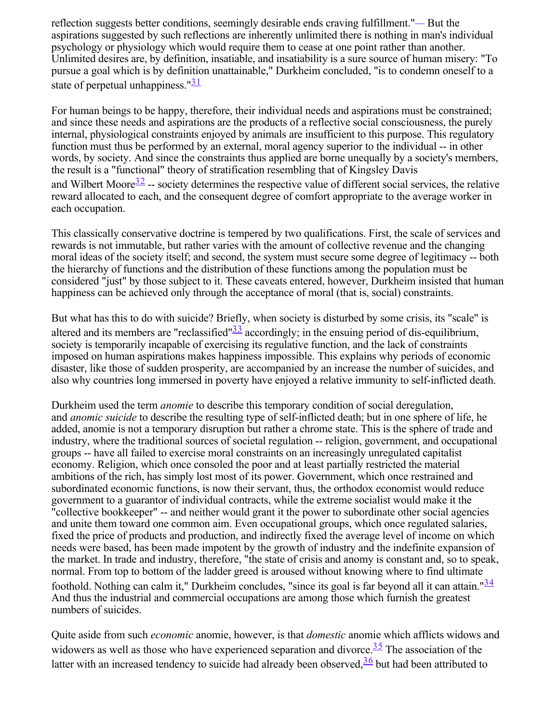reflection suggests better conditions, seemingly desirable ends craving fulfillment."— But the aspirations suggested by such reflections are inherently unlimited there is nothing in man's individual psychology or physiology which would require them to cease at one point rather than another. Unlimited desires are, by definition, insatiable, and insatiability is a sure source of human misery: "To pursue a goal which is by definition unattainable," Durkheim concluded, "is to condemn oneself to a state of perpetual unhappiness.  $\frac{31}{3}$ 

For human beings to be happy, therefore, their individual needs and aspirations must be constrained; and since these needs and aspirations are the products of a reflective social consciousness, the purely internal, physiological constraints enjoyed by animals are insufficient to this purpose. This regulatory function must thus be performed by an external, moral agency superior to the individual -- in other words, by society. And since the constraints thus applied are borne unequally by a society's members, the result is a "functional" theory of stratification resembling that of Kingsley Davis and Wilbert Moore<sup>32</sup> -- society determines the respective value of different social services, the relative reward allocated to each, and the consequent degree of comfort appropriate to the average worker in each occupation.

This classically conservative doctrine is tempered by two qualifications. First, the scale of services and rewards is not immutable, but rather varies with the amount of collective revenue and the changing moral ideas of the society itself; and second, the system must secure some degree of legitimacy -- both the hierarchy of functions and the distribution of these functions among the population must be considered "just" by those subject to it. These caveats entered, however, Durkheim insisted that human happiness can be achieved only through the acceptance of moral (that is, social) constraints.

But what has this to do with suicide? Briefly, when society is disturbed by some crisis, its "scale" is altered and its members are "reclassified" $\frac{33}{2}$  accordingly; in the ensuing period of dis-equilibrium, society is temporarily incapable of exercising its regulative function, and the lack of constraints imposed on human aspirations makes happiness impossible. This explains why periods of economic disaster, like those of sudden prosperity, are accompanied by an increase the number of suicides, and also why countries long immersed in poverty have enjoyed a relative immunity to self-inflicted death.

Durkheim used the term *anomie* to describe this temporary condition of social deregulation, and *anomic suicide* to describe the resulting type of self-inflicted death; but in one sphere of life, he added, anomie is not a temporary disruption but rather a chrome state. This is the sphere of trade and industry, where the traditional sources of societal regulation -- religion, government, and occupational groups -- have all failed to exercise moral constraints on an increasingly unregulated capitalist economy. Religion, which once consoled the poor and at least partially restricted the material ambitions of the rich, has simply lost most of its power. Government, which once restrained and subordinated economic functions, is now their servant, thus, the orthodox economist would reduce government to a guarantor of individual contracts, while the extreme socialist would make it the "collective bookkeeper" -- and neither would grant it the power to subordinate other social agencies and unite them toward one common aim. Even occupational groups, which once regulated salaries, fixed the price of products and production, and indirectly fixed the average level of income on which needs were based, has been made impotent by the growth of industry and the indefinite expansion of the market. In trade and industry, therefore, "the state of crisis and anomy is constant and, so to speak, normal. From top to bottom of the ladder greed is aroused without knowing where to find ultimate foothold. Nothing can calm it," Durkheim concludes, "since its goal is far beyond all it can attain."<sup>34</sup> And thus the industrial and commercial occupations are among those which furnish the greatest numbers of suicides.

Quite aside from such *economic* anomie, however, is that *domestic* anomie which afflicts widows and widowers as well as those who have experienced separation and divorce.  $\frac{35}{10}$  The association of the latter with an increased tendency to suicide had already been observed,  $\frac{36}{10}$  but had been attributed to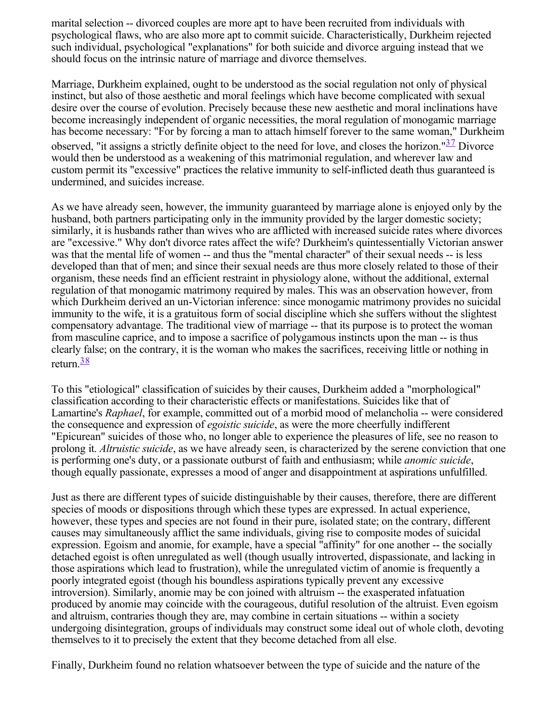marital selection -- divorced couples are more apt to have been recruited from individuals with psychological flaws, who are also more apt to commit suicide. Characteristically, Durkheim rejected such individual, psychological "explanations" for both suicide and divorce arguing instead that we should focus on the intrinsic nature of marriage and divorce themselves.

Marriage, Durkheim explained, ought to be understood as the social regulation not only of physical instinct, but also of those aesthetic and moral feelings which have become complicated with sexual desire over the course of evolution. Precisely because these new aesthetic and moral inclinations have become increasingly independent of organic necessities, the moral regulation of monogamic marriage has become necessary: "For by forcing a man to attach himself forever to the same woman," Durkheim observed, "it assigns a strictly definite object to the need for love, and closes the horizon." $\frac{37}{2}$  Divorce would then be understood as a weakening of this matrimonial regulation, and wherever law and custom permit its "excessive" practices the relative immunity to self-inflicted death thus guaranteed is undermined, and suicides increase.

As we have already seen, however, the immunity guaranteed by marriage alone is enjoyed only by the husband, both partners participating only in the immunity provided by the larger domestic society; similarly, it is husbands rather than wives who are afflicted with increased suicide rates where divorces are "excessive." Why don't divorce rates affect the wife? Durkheim's quintessentially Victorian answer was that the mental life of women -- and thus the "mental character" of their sexual needs -- is less developed than that of men; and since their sexual needs are thus more closely related to those of their organism, these needs find an efficient restraint in physiology alone, without the additional, external regulation of that monogamic matrimony required by males. This was an observation however, from which Durkheim derived an un-Victorian inference: since monogamic matrimony provides no suicidal immunity to the wife, it is a gratuitous form of social discipline which she suffers without the slightest compensatory advantage. The traditional view of marriage -- that its purpose is to protect the woman from masculine caprice, and to impose a sacrifice of polygamous instincts upon the man -- is thus clearly false; on the contrary, it is the woman who makes the sacrifices, receiving little or nothing in return $\frac{38}{3}$ 

To this "etiological" classification of suicides by their causes, Durkheim added a "morphological" classification according to their characteristic effects or manifestations. Suicides like that of Lamartine's *Raphael*, for example, committed out of a morbid mood of melancholia -- were considered the consequence and expression of *egoistic suicide*, as were the more cheerfully indifferent "Epicurean" suicides of those who, no longer able to experience the pleasures of life, see no reason to prolong it. *Altruistic suicide*, as we have already seen, is characterized by the serene conviction that one is performing one's duty, or a passionate outburst of faith and enthusiasm; while *anomic suicide*, though equally passionate, expresses a mood of anger and disappointment at aspirations unfulfilled.

Just as there are different types of suicide distinguishable by their causes, therefore, there are different species of moods or dispositions through which these types are expressed. In actual experience, however, these types and species are not found in their pure, isolated state; on the contrary, different causes may simultaneously afflict the same individuals, giving rise to composite modes of suicidal expression. Egoism and anomie, for example, have a special "affinity" for one another -- the socially detached egoist is often unregulated as well (though usually introverted, dispassionate, and lacking in those aspirations which lead to frustration), while the unregulated victim of anomie is frequently a poorly integrated egoist (though his boundless aspirations typically prevent any excessive introversion). Similarly, anomie may be con joined with altruism -- the exasperated infatuation produced by anomie may coincide with the courageous, dutiful resolution of the altruist. Even egoism and altruism, contraries though they are, may combine in certain situations -- within a society undergoing disintegration, groups of individuals may construct some ideal out of whole cloth, devoting themselves to it to precisely the extent that they become detached from all else.

Finally, Durkheim found no relation whatsoever between the type of suicide and the nature of the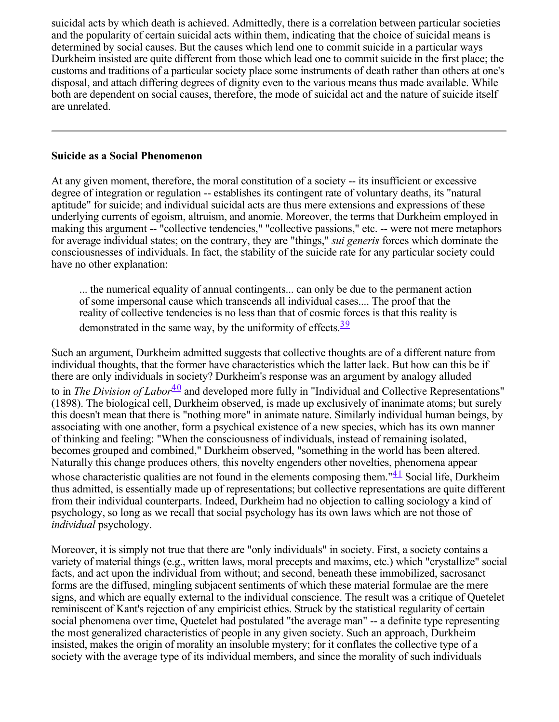suicidal acts by which death is achieved. Admittedly, there is a correlation between particular societies and the popularity of certain suicidal acts within them, indicating that the choice of suicidal means is determined by social causes. But the causes which lend one to commit suicide in a particular ways Durkheim insisted are quite different from those which lead one to commit suicide in the first place; the customs and traditions of a particular society place some instruments of death rather than others at one's disposal, and attach differing degrees of dignity even to the various means thus made available. While both are dependent on social causes, therefore, the mode of suicidal act and the nature of suicide itself are unrelated.

#### **Suicide as a Social Phenomenon**

At any given moment, therefore, the moral constitution of a society -- its insufficient or excessive degree of integration or regulation -- establishes its contingent rate of voluntary deaths, its "natural aptitude" for suicide; and individual suicidal acts are thus mere extensions and expressions of these underlying currents of egoism, altruism, and anomie. Moreover, the terms that Durkheim employed in making this argument -- "collective tendencies," "collective passions," etc. -- were not mere metaphors for average individual states; on the contrary, they are "things," *sui generis* forces which dominate the consciousnesses of individuals. In fact, the stability of the suicide rate for any particular society could have no other explanation:

... the numerical equality of annual contingents... can only be due to the permanent action of some impersonal cause which transcends all individual cases.... The proof that the reality of collective tendencies is no less than that of cosmic forces is that this reality is demonstrated in the same way, by the uniformity of effects.  $\frac{39}{2}$ 

Such an argument, Durkheim admitted suggests that collective thoughts are of a different nature from individual thoughts, that the former have characteristics which the latter lack. But how can this be if there are only individuals in society? Durkheim's response was an argument by analogy alluded to in *The Division of Labor*<sup>40</sup> and developed more fully in "Individual and Collective Representations" (1898). The biological cell, Durkheim observed, is made up exclusively of inanimate atoms; but surely this doesn't mean that there is "nothing more" in animate nature. Similarly individual human beings, by associating with one another, form a psychical existence of a new species, which has its own manner of thinking and feeling: "When the consciousness of individuals, instead of remaining isolated, becomes grouped and combined," Durkheim observed, "something in the world has been altered. Naturally this change produces others, this novelty engenders other novelties, phenomena appear whose characteristic qualities are not found in the elements composing them." $\frac{41}{12}$  Social life, Durkheim thus admitted, is essentially made up of representations; but collective representations are quite different from their individual counterparts. Indeed, Durkheim had no objection to calling sociology a kind of psychology, so long as we recall that social psychology has its own laws which are not those of individual psychology.

Moreover, it is simply not true that there are "only individuals" in society. First, a society contains a variety of material things (e.g., written laws, moral precepts and maxims, etc.) which "crystallize" social facts, and act upon the individual from without; and second, beneath these immobilized, sacrosanct forms are the diffused, mingling subjacent sentiments of which these material formulae are the mere signs, and which are equally external to the individual conscience. The result was a critique of Quetelet reminiscent of Kant's rejection of any empiricist ethics. Struck by the statistical regularity of certain social phenomena over time, Quetelet had postulated "the average man" -- a definite type representing the most generalized characteristics of people in any given society. Such an approach, Durkheim insisted, makes the origin of morality an insoluble mystery; for it conflates the collective type of a society with the average type of its individual members, and since the morality of such individuals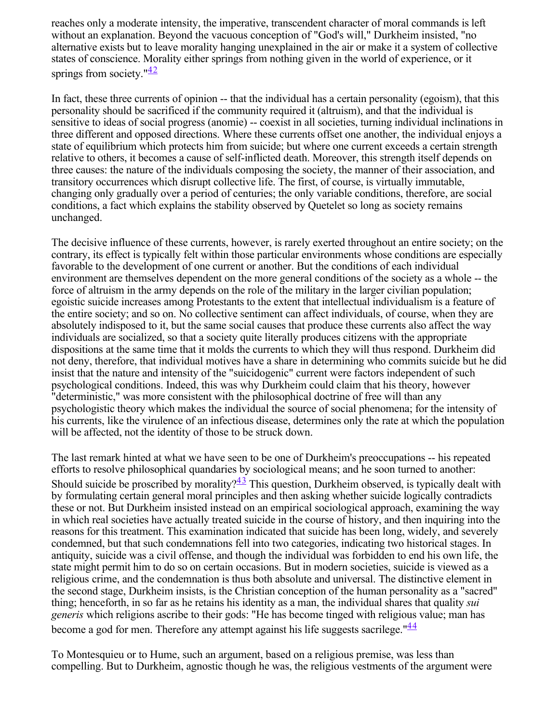reaches only a moderate intensity, the imperative, transcendent character of moral commands is left without an explanation. Beyond the vacuous conception of "God's will," Durkheim insisted, "no alternative exists but to leave morality hanging unexplained in the air or make it a system of collective states of conscience. Morality either springs from nothing given in the world of experience, or it springs from society." $\frac{42}{2}$ 

In fact, these three currents of opinion -- that the individual has a certain personality (egoism), that this personality should be sacrificed if the community required it (altruism), and that the individual is sensitive to ideas of social progress (anomie) -- coexist in all societies, turning individual inclinations in three different and opposed directions. Where these currents offset one another, the individual enjoys a state of equilibrium which protects him from suicide; but where one current exceeds a certain strength relative to others, it becomes a cause of self-inflicted death. Moreover, this strength itself depends on three causes: the nature of the individuals composing the society, the manner of their association, and transitory occurrences which disrupt collective life. The first, of course, is virtually immutable, changing only gradually over a period of centuries; the only variable conditions, therefore, are social conditions, a fact which explains the stability observed by Quetelet so long as society remains unchanged.

The decisive influence of these currents, however, is rarely exerted throughout an entire society; on the contrary, its effect is typically felt within those particular environments whose conditions are especially favorable to the development of one current or another. But the conditions of each individual environment are themselves dependent on the more general conditions of the society as a whole -- the force of altruism in the army depends on the role of the military in the larger civilian population; egoistic suicide increases among Protestants to the extent that intellectual individualism is a feature of the entire society; and so on. No collective sentiment can affect individuals, of course, when they are absolutely indisposed to it, but the same social causes that produce these currents also affect the way individuals are socialized, so that a society quite literally produces citizens with the appropriate dispositions at the same time that it molds the currents to which they will thus respond. Durkheim did not deny, therefore, that individual motives have a share in determining who commits suicide but he did insist that the nature and intensity of the "suicidogenic" current were factors independent of such psychological conditions. Indeed, this was why Durkheim could claim that his theory, however "deterministic," was more consistent with the philosophical doctrine of free will than any psychologistic theory which makes the individual the source of social phenomena; for the intensity of his currents, like the virulence of an infectious disease, determines only the rate at which the population will be affected, not the identity of those to be struck down.

The last remark hinted at what we have seen to be one of Durkheim's preoccupations -- his repeated efforts to resolve philosophical quandaries by sociological means; and he soon turned to another: Should suicide be proscribed by morality? $\frac{43}{3}$  This question, Durkheim observed, is typically dealt with by formulating certain general moral principles and then asking whether suicide logically contradicts these or not. But Durkheim insisted instead on an empirical sociological approach, examining the way in which real societies have actually treated suicide in the course of history, and then inquiring into the reasons for this treatment. This examination indicated that suicide has been long, widely, and severely condemned, but that such condemnations fell into two categories, indicating two historical stages. In antiquity, suicide was a civil offense, and though the individual was forbidden to end his own life, the state might permit him to do so on certain occasions. But in modern societies, suicide is viewed as a religious crime, and the condemnation is thus both absolute and universal. The distinctive element in the second stage, Durkheim insists, is the Christian conception of the human personality as a "sacred" thing; henceforth, in so far as he retains his identity as a man, the individual shares that quality *sui*  generis which religions ascribe to their gods: "He has become tinged with religious value; man has become a god for men. Therefore any attempt against his life suggests sacrilege."<sup>44</sup>

To Montesquieu or to Hume, such an argument, based on a religious premise, was less than compelling. But to Durkheim, agnostic though he was, the religious vestments of the argument were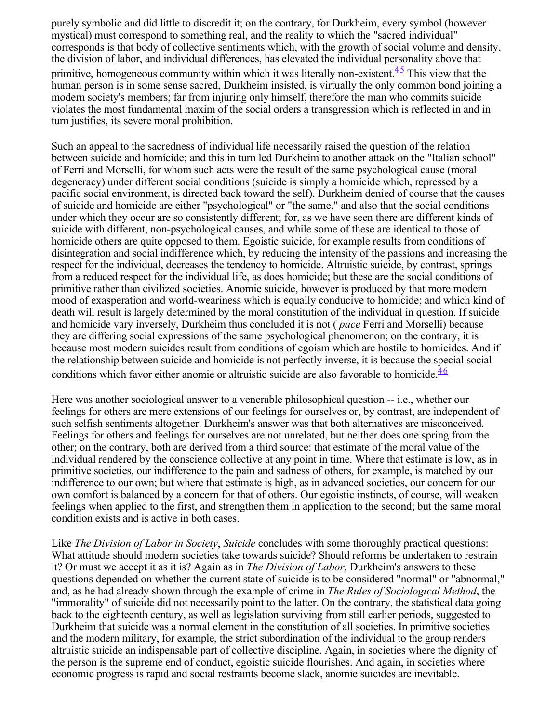purely symbolic and did little to discredit it; on the contrary, for Durkheim, every symbol (however mystical) must correspond to something real, and the reality to which the "sacred individual" corresponds is that body of collective sentiments which, with the growth of social volume and density, the division of labor, and individual differences, has elevated the individual personality above that primitive, homogeneous community within which it was literally non-existent. $\frac{45}{5}$  This view that the human person is in some sense sacred, Durkheim insisted, is virtually the only common bond joining a modern society's members; far from injuring only himself, therefore the man who commits suicide violates the most fundamental maxim of the social orders a transgression which is reflected in and in turn justifies, its severe moral prohibition.

Such an appeal to the sacredness of individual life necessarily raised the question of the relation between suicide and homicide; and this in turn led Durkheim to another attack on the "Italian school" of Ferri and Morselli, for whom such acts were the result of the same psychological cause (moral degeneracy) under different social conditions (suicide is simply a homicide which, repressed by a pacific social environment, is directed back toward the self). Durkheim denied of course that the causes of suicide and homicide are either "psychological" or "the same," and also that the social conditions under which they occur are so consistently different; for, as we have seen there are different kinds of suicide with different, non-psychological causes, and while some of these are identical to those of homicide others are quite opposed to them. Egoistic suicide, for example results from conditions of disintegration and social indifference which, by reducing the intensity of the passions and increasing the respect for the individual, decreases the tendency to homicide. Altruistic suicide, by contrast, springs from a reduced respect for the individual life, as does homicide; but these are the social conditions of primitive rather than civilized societies. Anomie suicide, however is produced by that more modern mood of exasperation and world-weariness which is equally conducive to homicide; and which kind of death will result is largely determined by the moral constitution of the individual in question. If suicide and homicide vary inversely, Durkheim thus concluded it is not (pace Ferri and Morselli) because they are differing social expressions of the same psychological phenomenon; on the contrary, it is because most modern suicides result from conditions of egoism which are hostile to homicides. And if the relationship between suicide and homicide is not perfectly inverse, it is because the special social conditions which favor either anomie or altruistic suicide are also favorable to homicide.  $\frac{46}{10}$ 

Here was another sociological answer to a venerable philosophical question -- i.e., whether our feelings for others are mere extensions of our feelings for ourselves or, by contrast, are independent of such selfish sentiments altogether. Durkheim's answer was that both alternatives are misconceived. Feelings for others and feelings for ourselves are not unrelated, but neither does one spring from the other; on the contrary, both are derived from a third source: that estimate of the moral value of the individual rendered by the conscience collective at any point in time. Where that estimate is low, as in primitive societies, our indifference to the pain and sadness of others, for example, is matched by our indifference to our own; but where that estimate is high, as in advanced societies, our concern for our own comfort is balanced by a concern for that of others. Our egoistic instincts, of course, will weaken feelings when applied to the first, and strengthen them in application to the second; but the same moral condition exists and is active in both cases.

Like *The Division of Labor in Society, Suicide* concludes with some thoroughly practical questions: What attitude should modern societies take towards suicide? Should reforms be undertaken to restrain it? Or must we accept it as it is? Again as in *The Division of Labor*, Durkheim's answers to these questions depended on whether the current state of suicide is to be considered "normal" or "abnormal," and, as he had already shown through the example of crime in *The Rules of Sociological Method*, the "immorality" of suicide did not necessarily point to the latter. On the contrary, the statistical data going back to the eighteenth century, as well as legislation surviving from still earlier periods, suggested to Durkheim that suicide was a normal element in the constitution of all societies. In primitive societies and the modern military, for example, the strict subordination of the individual to the group renders altruistic suicide an indispensable part of collective discipline. Again, in societies where the dignity of the person is the supreme end of conduct, egoistic suicide flourishes. And again, in societies where economic progress is rapid and social restraints become slack, anomie suicides are inevitable.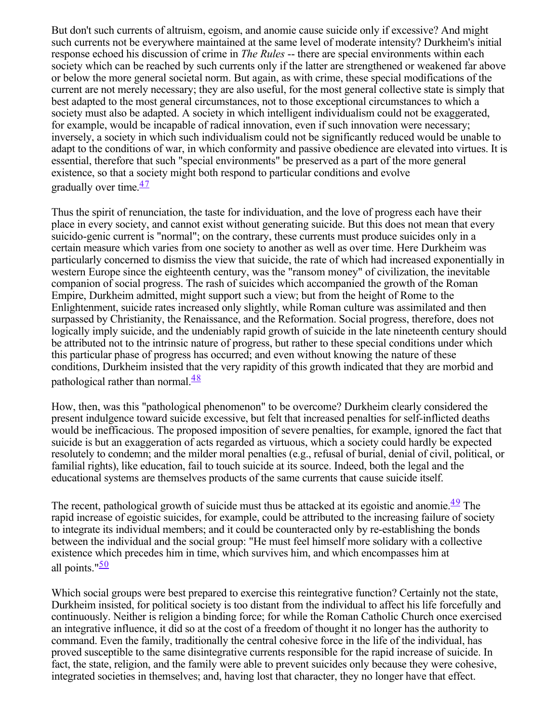But don't such currents of altruism, egoism, and anomie cause suicide only if excessive? And might such currents not be everywhere maintained at the same level of moderate intensity? Durkheim's initial response echoed his discussion of crime in *The Rules* -- there are special environments within each society which can be reached by such currents only if the latter are strengthened or weakened far above or below the more general societal norm. But again, as with crime, these special modifications of the current are not merely necessary; they are also useful, for the most general collective state is simply that best adapted to the most general circumstances, not to those exceptional circumstances to which a society must also be adapted. A society in which intelligent individualism could not be exaggerated, for example, would be incapable of radical innovation, even if such innovation were necessary; inversely, a society in which such individualism could not be significantly reduced would be unable to adapt to the conditions of war, in which conformity and passive obedience are elevated into virtues. It is essential, therefore that such "special environments" be preserved as a part of the more general existence, so that a society might both respond to particular conditions and evolve gradually over time.<sup>47</sup>

Thus the spirit of renunciation, the taste for individuation, and the love of progress each have their place in every society, and cannot exist without generating suicide. But this does not mean that every suicido-genic current is "normal"; on the contrary, these currents must produce suicides only in a certain measure which varies from one society to another as well as over time. Here Durkheim was particularly concerned to dismiss the view that suicide, the rate of which had increased exponentially in western Europe since the eighteenth century, was the "ransom money" of civilization, the inevitable companion of social progress. The rash of suicides which accompanied the growth of the Roman Empire, Durkheim admitted, might support such a view; but from the height of Rome to the Enlightenment, suicide rates increased only slightly, while Roman culture was assimilated and then surpassed by Christianity, the Renaissance, and the Reformation. Social progress, therefore, does not logically imply suicide, and the undeniably rapid growth of suicide in the late nineteenth century should be attributed not to the intrinsic nature of progress, but rather to these special conditions under which this particular phase of progress has occurred; and even without knowing the nature of these conditions, Durkheim insisted that the very rapidity of this growth indicated that they are morbid and pathological rather than normal  $\frac{48}{3}$ 

How, then, was this "pathological phenomenon" to be overcome? Durkheim clearly considered the present indulgence toward suicide excessive, but felt that increased penalties for self-inflicted deaths would be inefficacious. The proposed imposition of severe penalties, for example, ignored the fact that suicide is but an exaggeration of acts regarded as virtuous, which a society could hardly be expected resolutely to condemn; and the milder moral penalties (e.g., refusal of burial, denial of civil, political, or familial rights), like education, fail to touch suicide at its source. Indeed, both the legal and the educational systems are themselves products of the same currents that cause suicide itself.

The recent, pathological growth of suicide must thus be attacked at its egoistic and anomie.  $\frac{49}{1}$  The rapid increase of egoistic suicides, for example, could be attributed to the increasing failure of society to integrate its individual members; and it could be counteracted only by re-establishing the bonds between the individual and the social group: "He must feel himself more solidary with a collective existence which precedes him in time, which survives him, and which encompasses him at all points."<sup>50</sup>

Which social groups were best prepared to exercise this reintegrative function? Certainly not the state, Durkheim insisted, for political society is too distant from the individual to affect his life forcefully and continuously. Neither is religion a binding force; for while the Roman Catholic Church once exercised an integrative influence, it did so at the cost of a freedom of thought it no longer has the authority to command. Even the family, traditionally the central cohesive force in the life of the individual, has proved susceptible to the same disintegrative currents responsible for the rapid increase of suicide. In fact, the state, religion, and the family were able to prevent suicides only because they were cohesive, integrated societies in themselves; and, having lost that character, they no longer have that effect.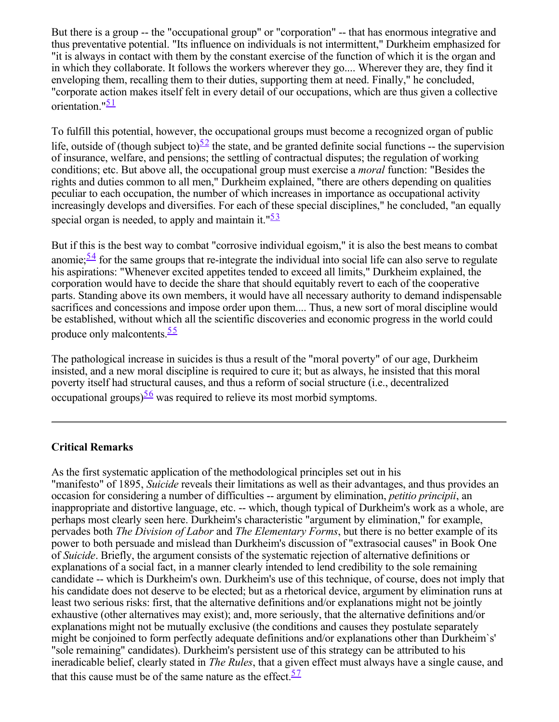But there is a group -- the "occupational group" or "corporation" -- that has enormous integrative and thus preventative potential. "Its influence on individuals is not intermittent," Durkheim emphasized for "it is always in contact with them by the constant exercise of the function of which it is the organ and in which they collaborate. It follows the workers wherever they go.... Wherever they are, they find it enveloping them, recalling them to their duties, supporting them at need. Finally," he concluded, "corporate action makes itself felt in every detail of our occupations, which are thus given a collective orientation." $51$ 

To fulfill this potential, however, the occupational groups must become a recognized organ of public life, outside of (though subject to)<sup>52</sup> the state, and be granted definite social functions -- the supervision of insurance, welfare, and pensions; the settling of contractual disputes; the regulation of working conditions; etc. But above all, the occupational group must exercise a *moral* function: "Besides the rights and duties common to all men," Durkheim explained, "there are others depending on qualities peculiar to each occupation, the number of which increases in importance as occupational activity increasingly develops and diversifies. For each of these special disciplines," he concluded, "an equally special organ is needed, to apply and maintain it."<sup>53</sup>

But if this is the best way to combat "corrosive individual egoism," it is also the best means to combat anomie;  $\frac{54}{3}$  for the same groups that re-integrate the individual into social life can also serve to regulate his aspirations: "Whenever excited appetites tended to exceed all limits," Durkheim explained, the corporation would have to decide the share that should equitably revert to each of the cooperative parts. Standing above its own members, it would have all necessary authority to demand indispensable sacrifices and concessions and impose order upon them.... Thus, a new sort of moral discipline would be established, without which all the scientific discoveries and economic progress in the world could produce only malcontents.<sup>55</sup>

The pathological increase in suicides is thus a result of the "moral poverty" of our age, Durkheim insisted, and a new moral discipline is required to cure it; but as always, he insisted that this moral poverty itself had structural causes, and thus a reform of social structure (i.e., decentralized occupational groups) $\frac{56}{9}$  was required to relieve its most morbid symptoms.

## **Critical Remarks**

As the first systematic application of the methodological principles set out in his "manifesto" of 1895, Suicide reveals their limitations as well as their advantages, and thus provides an occasion for considering a number of difficulties -- argument by elimination, *petitio principii*, an inappropriate and distortive language, etc. -- which, though typical of Durkheim's work as a whole, are perhaps most clearly seen here. Durkheim's characteristic "argument by elimination," for example, pervades both *The Division of Labor* and *The Elementary Forms*, but there is no better example of its power to both persuade and mislead than Durkheim's discussion of "extrasocial causes" in Book One of Suicide. Briefly, the argument consists of the systematic rejection of alternative definitions or explanations of a social fact, in a manner clearly intended to lend credibility to the sole remaining candidate -- which is Durkheim's own. Durkheim's use of this technique, of course, does not imply that his candidate does not deserve to be elected; but as a rhetorical device, argument by elimination runs at least two serious risks: first, that the alternative definitions and/or explanations might not be jointly exhaustive (other alternatives may exist); and, more seriously, that the alternative definitions and/or explanations might not be mutually exclusive (the conditions and causes they postulate separately might be conjoined to form perfectly adequate definitions and/or explanations other than Durkheim`s' "sole remaining" candidates). Durkheim's persistent use of this strategy can be attributed to his ineradicable belief, clearly stated in *The Rules*, that a given effect must always have a single cause, and that this cause must be of the same nature as the effect.  $\frac{57}{57}$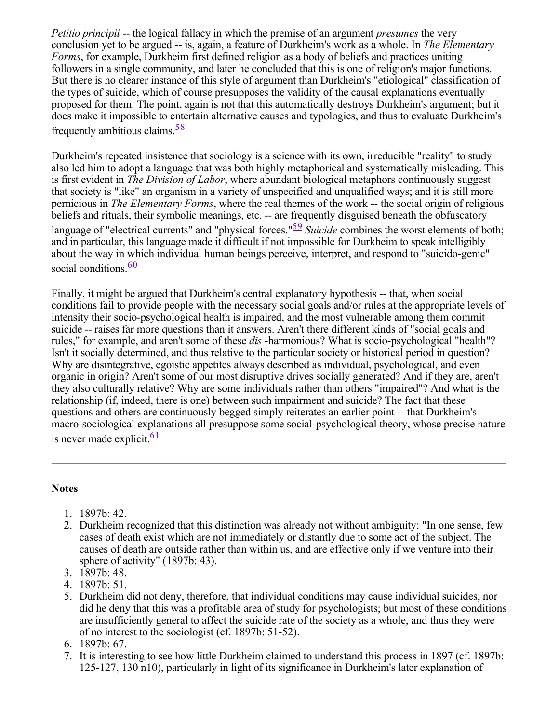*Petitio principii* -- the logical fallacy in which the premise of an argument presumes the very conclusion yet to be argued -- is, again, a feature of Durkheim's work as a whole. In *The Elementary*  , for example, Durkheim first defined religion as a body of beliefs and practices uniting *Forms* followers in a single community, and later he concluded that this is one of religion's major functions. But there is no clearer instance of this style of argument than Durkheim's "etiological" classification of the types of suicide, which of course presupposes the validity of the causal explanations eventually proposed for them. The point, again is not that this automatically destroys Durkheim's argument; but it does make it impossible to entertain alternative causes and typologies, and thus to evaluate Durkheim's frequently ambitious claims.<sup>58</sup>

Durkheim's repeated insistence that sociology is a science with its own, irreducible "reality" to study also led him to adopt a language that was both highly metaphorical and systematically misleading. This is first evident in *The Division of Labor*, where abundant biological metaphors continuously suggest that society is "like" an organism in a variety of unspecified and unqualified ways; and it is still more pernicious in *The Elementary Forms*, where the real themes of the work -- the social origin of religious beliefs and rituals, their symbolic meanings, etc. -- are frequently disguised beneath the obfuscatory language of "electrical currents" and "physical forces."<sup>59</sup> Suicide combines the worst elements of both; and in particular, this language made it difficult if not impossible for Durkheim to speak intelligibly about the way in which individual human beings perceive, interpret, and respond to "suicido-genic" social conditions.<sup>60</sup>

Finally, it might be argued that Durkheim's central explanatory hypothesis -- that, when social conditions fail to provide people with the necessary social goals and/or rules at the appropriate levels of intensity their socio-psychological health is impaired, and the most vulnerable among them commit suicide -- raises far more questions than it answers. Aren't there different kinds of "social goals and rules," for example, and aren't some of these *dis* -harmonious? What is socio-psychological "health"? Isn't it socially determined, and thus relative to the particular society or historical period in question? Why are disintegrative, egoistic appetites always described as individual, psychological, and even organic in origin? Aren't some of our most disruptive drives socially generated? And if they are, aren't they also culturally relative? Why are some individuals rather than others "impaired"? And what is the relationship (if, indeed, there is one) between such impairment and suicide? The fact that these questions and others are continuously begged simply reiterates an earlier point -- that Durkheim's macro-sociological explanations all presuppose some social-psychological theory, whose precise nature is never made explicit.<sup>61</sup>

## **Notes**

- 1. 1897b: 42.
- 2. Durkheim recognized that this distinction was already not without ambiguity: "In one sense, few cases of death exist which are not immediately or distantly due to some act of the subject. The causes of death are outside rather than within us, and are effective only if we venture into their sphere of activity" (1897b: 43).
- 3. 1897b: 48.
- 4. 1897b: 51.
- 5. Durkheim did not deny, therefore, that individual conditions may cause individual suicides, nor did he deny that this was a profitable area of study for psychologists; but most of these conditions are insufficiently general to affect the suicide rate of the society as a whole, and thus they were of no interest to the sociologist (cf. 1897b: 51-52).
- 6. 1897b: 67.
- 7. It is interesting to see how little Durkheim claimed to understand this process in 1897 (cf. 1897b: 125-127, 130 n10), particularly in light of its significance in Durkheim's later explanation of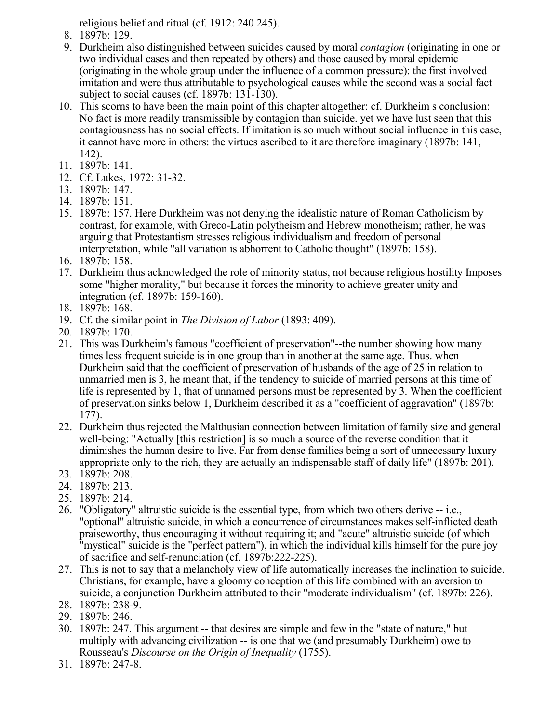religious belief and ritual (cf. 1912: 240 245).

- 8. 1897b: 129.
- 9. Durkheim also distinguished between suicides caused by moral *contagion* (originating in one or two individual cases and then repeated by others) and those caused by moral epidemic (originating in the whole group under the influence of a common pressure): the first involved imitation and were thus attributable to psychological causes while the second was a social fact subject to social causes (cf. 1897b: 131-130).
- 10. This scorns to have been the main point of this chapter altogether: cf. Durkheim s conclusion: No fact is more readily transmissible by contagion than suicide. yet we have lust seen that this contagiousness has no social effects. If imitation is so much without social influence in this case, it cannot have more in others: the virtues ascribed to it are therefore imaginary (1897b: 141, 142).
- 11. 1897b: 141.
- 12. Cf. Lukes, 1972: 31-32.
- 13. 1897b: 147.
- 14. 1897b: 151.
- 15. 1897b: 157. Here Durkheim was not denying the idealistic nature of Roman Catholicism by contrast, for example, with Greco-Latin polytheism and Hebrew monotheism; rather, he was arguing that Protestantism stresses religious individualism and freedom of personal interpretation, while "all variation is abhorrent to Catholic thought" (1897b: 158).
- 16. 1897b: 158.
- 17. Durkheim thus acknowledged the role of minority status, not because religious hostility Imposes some "higher morality," but because it forces the minority to achieve greater unity and integration (cf. 1897b: 159-160).
- 18. 1897b: 168.
- 19. Cf. the similar point in *The Division of Labor* (1893: 409).
- 20. 1897b: 170.
- 21. This was Durkheim's famous "coefficient of preservation"--the number showing how many times less frequent suicide is in one group than in another at the same age. Thus. when Durkheim said that the coefficient of preservation of husbands of the age of 25 in relation to unmarried men is 3, he meant that, if the tendency to suicide of married persons at this time of life is represented by 1, that of unnamed persons must be represented by 3. When the coefficient of preservation sinks below 1, Durkheim described it as a "coefficient of aggravation" (1897b: 177).
- 22. Durkheim thus rejected the Malthusian connection between limitation of family size and general well-being: "Actually [this restriction] is so much a source of the reverse condition that it diminishes the human desire to live. Far from dense families being a sort of unnecessary luxury appropriate only to the rich, they are actually an indispensable staff of daily life" (1897b: 201).
- 23. 1897b: 208.
- 24. 1897b: 213.
- 25. 1897b: 214.
- 26. "Obligatory" altruistic suicide is the essential type, from which two others derive -- i.e., "optional" altruistic suicide, in which a concurrence of circumstances makes self-inflicted death praiseworthy, thus encouraging it without requiring it; and "acute" altruistic suicide (of which "mystical" suicide is the "perfect pattern"), in which the individual kills himself for the pure joy of sacrifice and self-renunciation (cf. 1897b:222-225).
- 27. This is not to say that a melancholy view of life automatically increases the inclination to suicide. Christians, for example, have a gloomy conception of this life combined with an aversion to suicide, a conjunction Durkheim attributed to their "moderate individualism" (cf. 1897b: 226).
- 28. 1897b: 238-9.
- 29. 1897b: 246.
- 30. 1897b: 247. This argument -- that desires are simple and few in the "state of nature," but multiply with advancing civilization -- is one that we (and presumably Durkheim) owe to Rousseau's *Discourse on the Origin of Inequality* (1755).
- 31. 1897b: 247-8.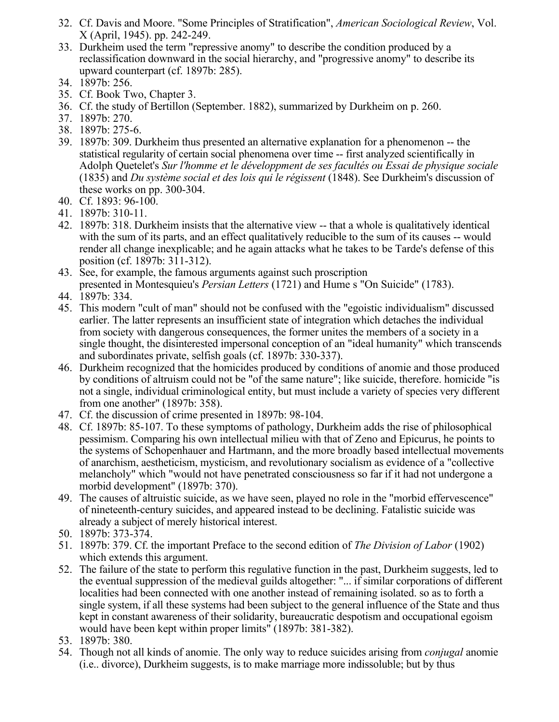- 32. Cf. Davis and Moore. "Some Principles of Stratification", American Sociological Review, Vol. X (April, 1945). pp. 242-249.
- 33. Durkheim used the term "repressive anomy" to describe the condition produced by a reclassification downward in the social hierarchy, and "progressive anomy" to describe its upward counterpart (cf. 1897b: 285).
- 34. 1897b: 256.
- 35. Cf. Book Two, Chapter 3.
- 36. Cf. the study of Bertillon (September. 1882), summarized by Durkheim on p. 260.
- 37. 1897b: 270.
- 38. 1897b: 275-6.
- 39. 1897b: 309. Durkheim thus presented an alternative explanation for a phenomenon -- the statistical regularity of certain social phenomena over time -- first analyzed scientifically in Adolph Quetelet's *Sur l'homme et le développment de ses facultés ou Essai de physique sociale* (1835) and *Du système social et des lois qui le régissent* (1848). See Durkheim's discussion of these works on pp. 300-304.
- 40. Cf. 1893: 96-100.
- 41. 1897b: 310-11.
- 42. 1897b: 318. Durkheim insists that the alternative view -- that a whole is qualitatively identical with the sum of its parts, and an effect qualitatively reducible to the sum of its causes -- would render all change inexplicable; and he again attacks what he takes to be Tarde's defense of this position (cf. 1897b: 311-312).
- 43. See, for example, the famous arguments against such proscription presented in Montesquieu's *Persian Letters* (1721) and Hume s "On Suicide" (1783).
- 44. 1897b: 334.
- 45. This modern "cult of man" should not be confused with the "egoistic individualism" discussed earlier. The latter represents an insufficient state of integration which detaches the individual from society with dangerous consequences, the former unites the members of a society in a single thought, the disinterested impersonal conception of an "ideal humanity" which transcends and subordinates private, selfish goals (cf. 1897b: 330-337).
- 46. Durkheim recognized that the homicides produced by conditions of anomie and those produced by conditions of altruism could not be "of the same nature"; like suicide, therefore. homicide "is not a single, individual criminological entity, but must include a variety of species very different from one another" (1897b: 358).
- 47. Cf. the discussion of crime presented in 1897b: 98-104.
- 48. Cf. 1897b: 85-107. To these symptoms of pathology, Durkheim adds the rise of philosophical pessimism. Comparing his own intellectual milieu with that of Zeno and Epicurus, he points to the systems of Schopenhauer and Hartmann, and the more broadly based intellectual movements of anarchism, aestheticism, mysticism, and revolutionary socialism as evidence of a "collective melancholy" which "would not have penetrated consciousness so far if it had not undergone a morbid development" (1897b: 370).
- 49. The causes of altruistic suicide, as we have seen, played no role in the "morbid effervescence" of nineteenth-century suicides, and appeared instead to be declining. Fatalistic suicide was already a subject of merely historical interest.
- 50. 1897b: 373-374.
- 51. 1897b: 379. Cf. the important Preface to the second edition of *The Division of Labor* (1902) which extends this argument.
- 52. The failure of the state to perform this regulative function in the past, Durkheim suggests, led to the eventual suppression of the medieval guilds altogether: "... if similar corporations of different localities had been connected with one another instead of remaining isolated. so as to forth a single system, if all these systems had been subject to the general influence of the State and thus kept in constant awareness of their solidarity, bureaucratic despotism and occupational egoism would have been kept within proper limits" (1897b: 381-382).
- 53. 1897b: 380.
- 54. Though not all kinds of anomie. The only way to reduce suicides arising from *conjugal* anomie (i.e.. divorce), Durkheim suggests, is to make marriage more indissoluble; but by thus